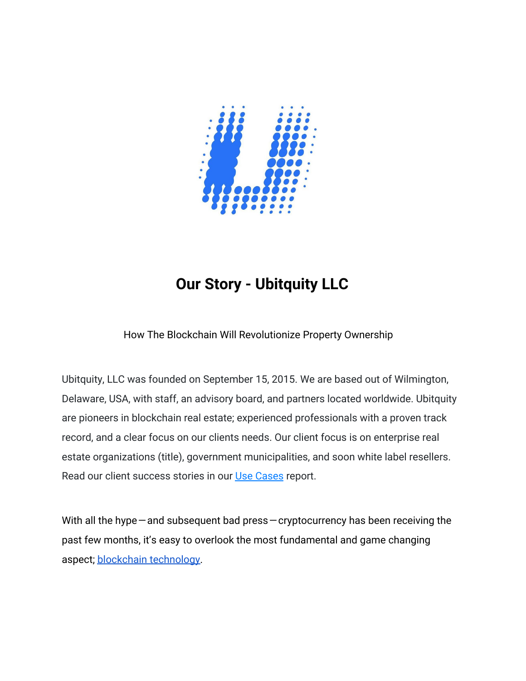

# **Our Story - Ubitquity LLC**

## How The Blockchain Will Revolutionize Property Ownership

Ubitquity, LLC was founded on September 15, 2015. We are based out of Wilmington, Delaware, USA, with staff, an advisory board, and partners located worldwide. Ubitquity are pioneers in blockchain real estate; experienced professionals with a proven track record, and a clear focus on our clients needs. Our client focus is on enterprise real estate organizations (title), government municipalities, and soon white label resellers. Read our client success stories in our [Use Cases](http://ubitquity.io/UBITQUITY-CaseStudy.pdf) report.

With all the hype  $-$  and subsequent bad press  $-$  cryptocurrency has been receiving the past few months, it's easy to overlook the most fundamental and game changing aspect; [blockchain technology](https://blockgeeks.com/guides/what-is-blockchain-technology/).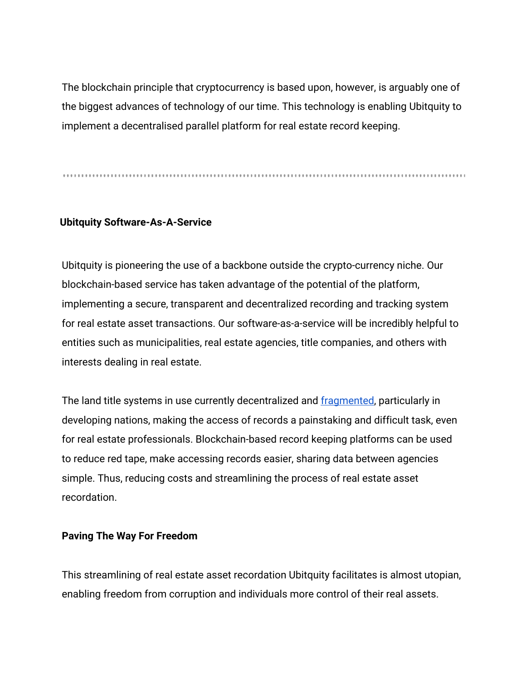The blockchain principle that cryptocurrency is based upon, however, is arguably one of the biggest advances of technology of our time. This technology is enabling Ubitquity to implement a decentralised parallel platform for real estate record keeping.

#### **Ubitquity Software-As-A-Service**

Ubitquity is pioneering the use of a backbone outside the crypto-currency niche. Our blockchain-based service has taken advantage of the potential of the platform, implementing a secure, transparent and decentralized recording and tracking system for real estate asset transactions. Our software-as-a-service will be incredibly helpful to entities such as municipalities, real estate agencies, title companies, and others with interests dealing in real estate.

The land title systems in use currently decentralized and [fragmented,](https://scholarship.law.upenn.edu/cgi/viewcontent.cgi?referer=https://www.google.com.au/&httpsredir=1&article=1931&context=jil) particularly in developing nations, making the access of records a painstaking and difficult task, even for real estate professionals. Blockchain-based record keeping platforms can be used to reduce red tape, make accessing records easier, sharing data between agencies simple. Thus, reducing costs and streamlining the process of real estate asset recordation.

#### **Paving The Way For Freedom**

This streamlining of real estate asset recordation Ubitquity facilitates is almost utopian, enabling freedom from corruption and individuals more control of their real assets.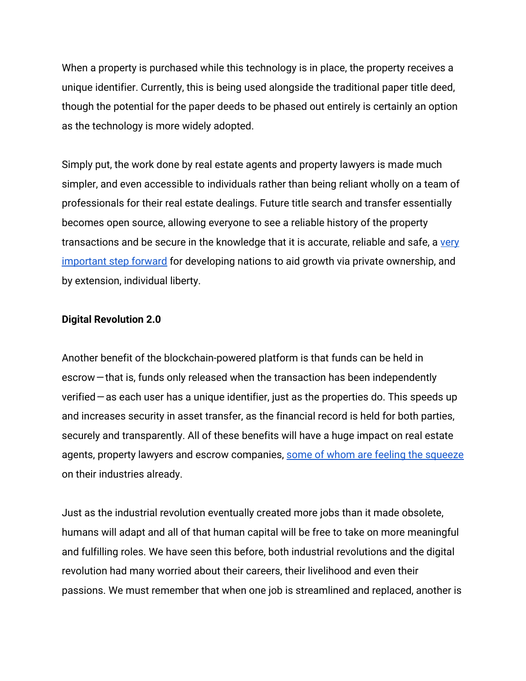When a property is purchased while this technology is in place, the property receives a unique identifier. Currently, this is being used alongside the traditional paper title deed, though the potential for the paper deeds to be phased out entirely is certainly an option as the technology is more widely adopted.

Simply put, the work done by real estate agents and property lawyers is made much simpler, and even accessible to individuals rather than being reliant wholly on a team of professionals for their real estate dealings. Future title search and transfer essentially becomes open source, allowing everyone to see a reliable history of the property transactions and be secure in the knowledge that it is accurate, reliable and safe, a [very](https://www.businessinsider.com.au/blockchain-could-solve-a-lot-of-problems-in-the-housing-market-2017-4) [important step forward](https://www.businessinsider.com.au/blockchain-could-solve-a-lot-of-problems-in-the-housing-market-2017-4) for developing nations to aid growth via private ownership, and by extension, individual liberty.

#### **Digital Revolution 2.0**

Another benefit of the blockchain-powered platform is that funds can be held in escrow — that is, funds only released when the transaction has been independently verified — as each user has a unique identifier, just as the properties do. This speeds up and increases security in asset transfer, as the financial record is held for both parties, securely and transparently. All of these benefits will have a huge impact on real estate agents, property lawyers and escrow companies, [some of whom are feeling the squeeze](https://hackernoon.com/how-a-smart-contract-replaced-an-escrow-company-in-a-60k-deal-551ff7839044) on their industries already.

Just as the industrial revolution eventually created more jobs than it made obsolete, humans will adapt and all of that human capital will be free to take on more meaningful and fulfilling roles. We have seen this before, both industrial revolutions and the digital revolution had many worried about their careers, their livelihood and even their passions. We must remember that when one job is streamlined and replaced, another is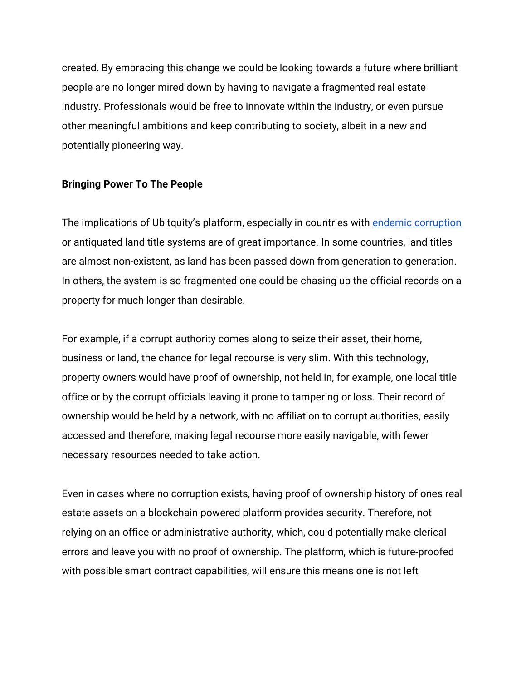created. By embracing this change we could be looking towards a future where brilliant people are no longer mired down by having to navigate a fragmented real estate industry. Professionals would be free to innovate within the industry, or even pursue other meaningful ambitions and keep contributing to society, albeit in a new and potentially pioneering way.

#### **Bringing Power To The People**

The implications of Ubitquity's platform, especially in countries with [endemic corruption](https://uk.reuters.com/article/us-brazil-property-blockchain/can-blockchain-save-the-amazon-in-corruption-mired-brazil-idUSKBN1FE113) or antiquated land title systems are of great importance. In some countries, land titles are almost non-existent, as land has been passed down from generation to generation. In others, the system is so fragmented one could be chasing up the official records on a property for much longer than desirable.

For example, if a corrupt authority comes along to seize their asset, their home, business or land, the chance for legal recourse is very slim. With this technology, property owners would have proof of ownership, not held in, for example, one local title office or by the corrupt officials leaving it prone to tampering or loss. Their record of ownership would be held by a network, with no affiliation to corrupt authorities, easily accessed and therefore, making legal recourse more easily navigable, with fewer necessary resources needed to take action.

Even in cases where no corruption exists, having proof of ownership history of ones real estate assets on a blockchain-powered platform provides security. Therefore, not relying on an office or administrative authority, which, could potentially make clerical errors and leave you with no proof of ownership. The platform, which is future-proofed with possible smart contract capabilities, will ensure this means one is not left